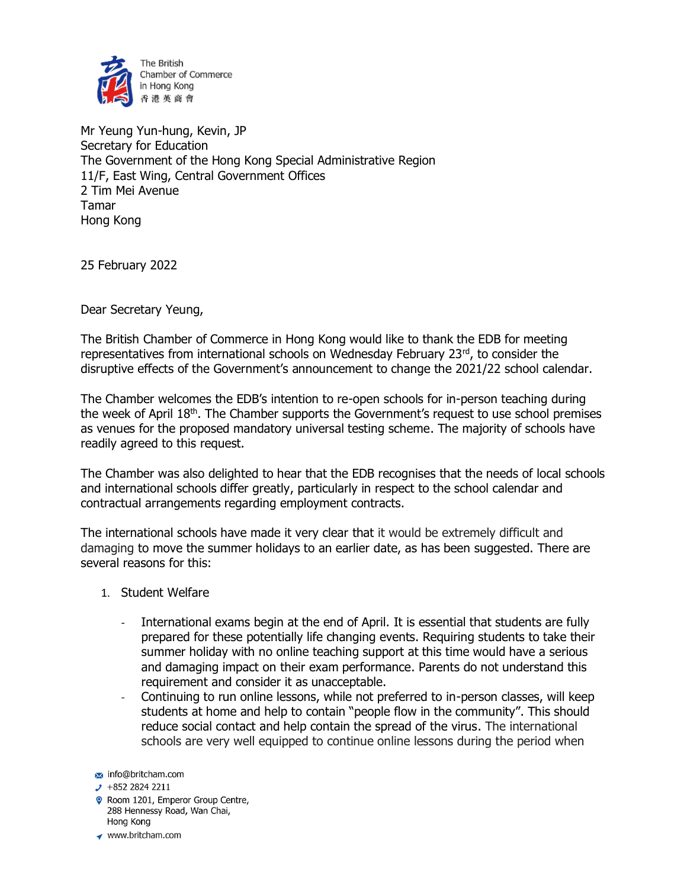

Mr Yeung Yun-hung, Kevin, JP Secretary for Education The Government of the Hong Kong Special Administrative Region 11/F, East Wing, Central Government Offices 2 Tim Mei Avenue Tamar Hong Kong

25 February 2022

Dear Secretary Yeung,

The British Chamber of Commerce in Hong Kong would like to thank the EDB for meeting representatives from international schools on Wednesday February  $23<sup>rd</sup>$ , to consider the disruptive effects of the Government's announcement to change the 2021/22 school calendar.

The Chamber welcomes the EDB's intention to re-open schools for in-person teaching during the week of April 18<sup>th</sup>. The Chamber supports the Government's request to use school premises as venues for the proposed mandatory universal testing scheme. The majority of schools have readily agreed to this request.

The Chamber was also delighted to hear that the EDB recognises that the needs of local schools and international schools differ greatly, particularly in respect to the school calendar and contractual arrangements regarding employment contracts.

The international schools have made it very clear that it would be extremely difficult and damaging to move the summer holidays to an earlier date, as has been suggested. There are several reasons for this:

- 1. Student Welfare
	- International exams begin at the end of April. It is essential that students are fully prepared for these potentially life changing events. Requiring students to take their summer holiday with no online teaching support at this time would have a serious and damaging impact on their exam performance. Parents do not understand this requirement and consider it as unacceptable.
	- Continuing to run online lessons, while not preferred to in-person classes, will keep students at home and help to contain "people flow in the community". This should reduce social contact and help contain the spread of the virus. The international schools are very well equipped to continue online lessons during the period when

- Room 1201, Emperor Group Centre, 288 Hennessy Road, Wan Chai, Hong Kong
- www.britcham.com

info@britcham.com

 $\cdot$  +852 2824 2211